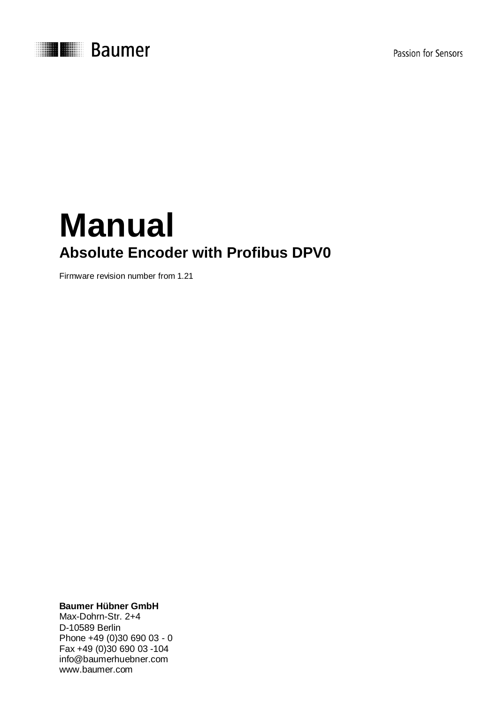



# **Manual Absolute Encoder with Profibus DPV0**

Firmware revision number from 1.21

**Baumer Hübner GmbH**

Max-Dohrn-Str. 2+4 D-10589 Berlin Phone +49 (0)30 690 03 - 0 Fax +49 (0)30 690 03 -104 info@baumerhuebner.com www.baumer.com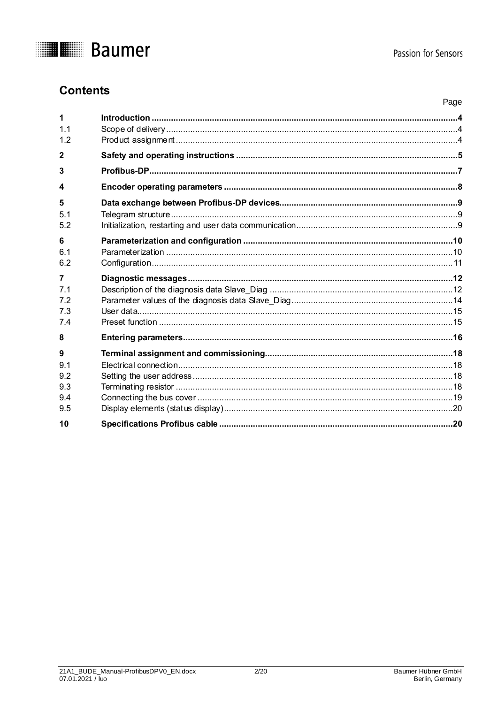

### **Contents**

|                                      | Page |
|--------------------------------------|------|
| 1                                    |      |
| 1.1<br>12                            |      |
| $\overline{2}$                       |      |
| 3                                    |      |
| $\boldsymbol{4}$                     |      |
| 5                                    |      |
| 5 <sub>1</sub><br>5.2                |      |
| 6<br>6.1<br>6.2                      |      |
| 7                                    |      |
| 7.1                                  |      |
| 7.2                                  |      |
| 7.3<br>7.4                           |      |
| 8                                    |      |
| 9<br>9.1<br>9.2<br>9.3<br>9.4<br>9.5 |      |
| 10                                   |      |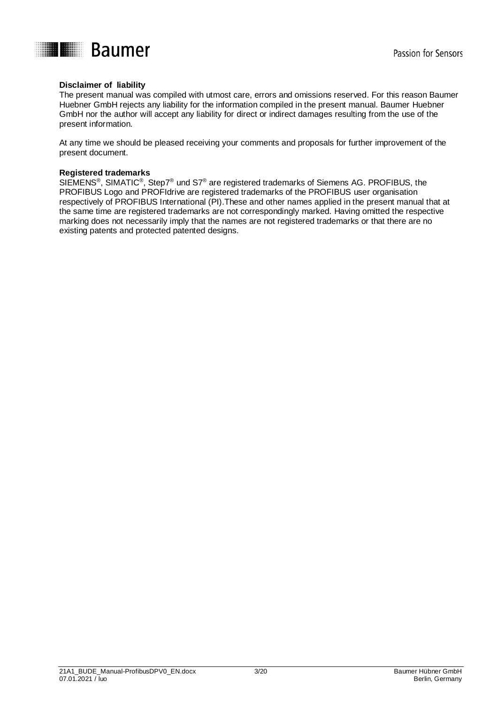

### **Disclaimer of liability**

The present manual was compiled with utmost care, errors and omissions reserved. For this reason Baumer Huebner GmbH rejects any liability for the information compiled in the present manual. Baumer Huebner GmbH nor the author will accept any liability for direct or indirect damages resulting from the use of the present information.

At any time we should be pleased receiving your comments and proposals for further improvement of the present document.

#### **Registered trademarks**

SIEMENS®, SIMATIC®, Step7® und S7® are registered trademarks of Siemens AG. PROFIBUS, the PROFIBUS Logo and PROFIdrive are registered trademarks of the PROFIBUS user organisation respectively of PROFIBUS International (PI).These and other names applied in the present manual that at the same time are registered trademarks are not correspondingly marked. Having omitted the respective marking does not necessarily imply that the names are not registered trademarks or that there are no existing patents and protected patented designs.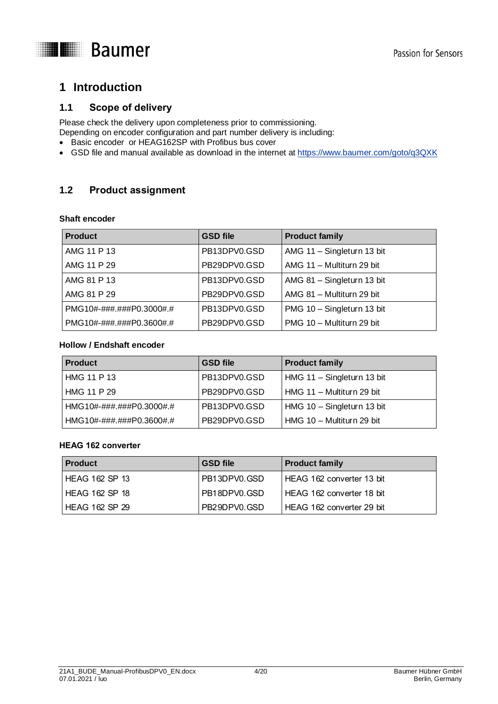

### <span id="page-3-0"></span>**1 Introduction**

### <span id="page-3-1"></span>**1.1 Scope of delivery**

Please check the delivery upon completeness prior to commissioning. Depending on encoder configuration and part number delivery is including:

- Basic encoder or HEAG162SP with Profibus bus cover
- GSD file and manual available as download in the internet at <https://www.baumer.com/goto/q3QXK>

### <span id="page-3-2"></span>**1.2 Product assignment**

### **Shaft encoder**

| <b>Product</b>           | <b>GSD file</b> | <b>Product family</b>      |
|--------------------------|-----------------|----------------------------|
| AMG 11 P 13              | PB13DPV0.GSD    | AMG 11 - Singleturn 13 bit |
| AMG 11 P 29              | PB29DPV0.GSD    | AMG 11 - Multiturn 29 bit  |
| AMG 81 P 13              | PB13DPV0.GSD    | AMG 81 - Singleturn 13 bit |
| AMG 81 P 29              | PB29DPV0.GSD    | AMG 81 - Multiturn 29 bit  |
| PMG10#-###.###P0.3000#.# | PB13DPV0.GSD    | PMG 10 - Singleturn 13 bit |
| PMG10#-###.###P0.3600#.# | PB29DPV0.GSD    | PMG 10 - Multiturn 29 bit  |

### **Hollow / Endshaft encoder**

| <b>Product</b>           | <b>GSD file</b> | <b>Product family</b>      |
|--------------------------|-----------------|----------------------------|
| HMG 11 P 13              | PB13DPV0.GSD    | HMG 11 - Singleturn 13 bit |
| HMG 11 P 29              | PB29DPV0.GSD    | HMG 11 - Multiturn 29 bit  |
| HMG10#-###.###P0.3000#.# | PB13DPV0.GSD    | HMG 10 - Singleturn 13 bit |
| HMG10#-###.###P0.3600#.# | PB29DPV0.GSD    | HMG 10 - Multiturn 29 bit  |

### **HEAG 162 converter**

| <b>Product</b> | <b>GSD file</b> | <b>Product family</b>     |
|----------------|-----------------|---------------------------|
| HEAG 162 SP 13 | PB13DPV0.GSD    | HEAG 162 converter 13 bit |
| HEAG 162 SP 18 | PB18DPV0.GSD    | HEAG 162 converter 18 bit |
| HEAG 162 SP 29 | PB29DPV0.GSD    | HEAG 162 converter 29 bit |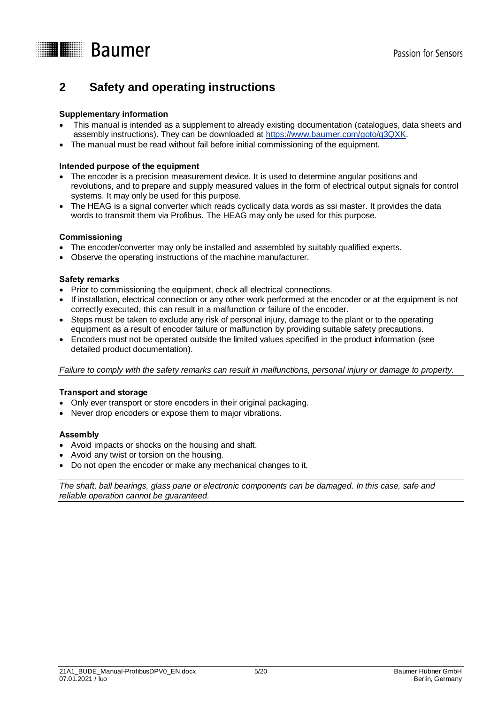

### <span id="page-4-0"></span>**2 Safety and operating instructions**

### **Supplementary information**

- This manual is intended as a supplement to already existing documentation (catalogues, data sheets and assembly instructions). They can be downloaded at [https://www.baumer.com/goto/q3QXK.](https://www.baumer.com/goto/q3QXK)
- The manual must be read without fail before initial commissioning of the equipment.

### **Intended purpose of the equipment**

- The encoder is a precision measurement device. It is used to determine angular positions and revolutions, and to prepare and supply measured values in the form of electrical output signals for control systems. It may only be used for this purpose.
- The HEAG is a signal converter which reads cyclically data words as ssi master. It provides the data words to transmit them via Profibus. The HEAG may only be used for this purpose.

### **Commissioning**

- The encoder/converter may only be installed and assembled by suitably qualified experts.
- Observe the operating instructions of the machine manufacturer.

### **Safety remarks**

- Prior to commissioning the equipment, check all electrical connections.
- If installation, electrical connection or any other work performed at the encoder or at the equipment is not correctly executed, this can result in a malfunction or failure of the encoder.
- Steps must be taken to exclude any risk of personal injury, damage to the plant or to the operating equipment as a result of encoder failure or malfunction by providing suitable safety precautions.
- Encoders must not be operated outside the limited values specified in the product information (see detailed product documentation).

*Failure to comply with the safety remarks can result in malfunctions, personal injury or damage to property.*

### **Transport and storage**

- Only ever transport or store encoders in their original packaging.
- Never drop encoders or expose them to major vibrations.

### **Assembly**

- Avoid impacts or shocks on the housing and shaft.
- Avoid any twist or torsion on the housing.
- Do not open the encoder or make any mechanical changes to it.

*The shaft, ball bearings, glass pane or electronic components can be damaged. In this case, safe and reliable operation cannot be guaranteed.*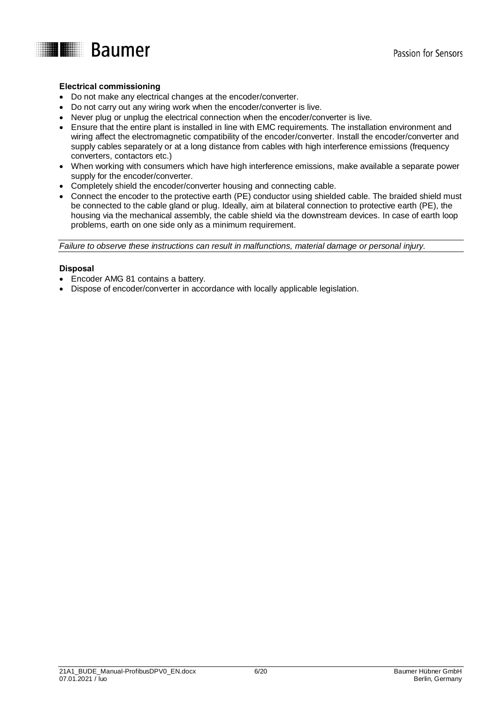

### **Electrical commissioning**

- Do not make any electrical changes at the encoder/converter.
- Do not carry out any wiring work when the encoder/converter is live.
- Never plug or unplug the electrical connection when the encoder/converter is live.
- Ensure that the entire plant is installed in line with EMC requirements. The installation environment and wiring affect the electromagnetic compatibility of the encoder/converter. Install the encoder/converter and supply cables separately or at a long distance from cables with high interference emissions (frequency converters, contactors etc.)
- When working with consumers which have high interference emissions, make available a separate power supply for the encoder/converter.
- Completely shield the encoder/converter housing and connecting cable.
- Connect the encoder to the protective earth (PE) conductor using shielded cable. The braided shield must be connected to the cable gland or plug. Ideally, aim at bilateral connection to protective earth (PE), the housing via the mechanical assembly, the cable shield via the downstream devices. In case of earth loop problems, earth on one side only as a minimum requirement.

*Failure to observe these instructions can result in malfunctions, material damage or personal injury.*

#### **Disposal**

- Encoder AMG 81 contains a battery.
- Dispose of encoder/converter in accordance with locally applicable legislation.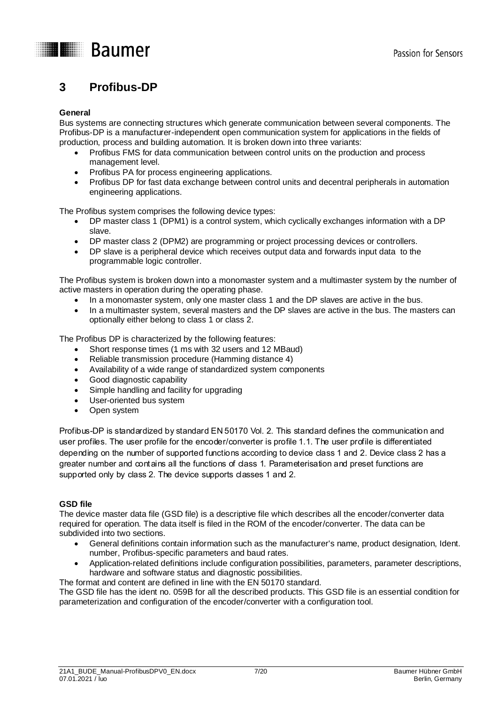

### <span id="page-6-0"></span>**3 Profibus-DP**

### **General**

Bus systems are connecting structures which generate communication between several components. The Profibus-DP is a manufacturer-independent open communication system for applications in the fields of production, process and building automation. It is broken down into three variants:

- Profibus FMS for data communication between control units on the production and process management level.
- Profibus PA for process engineering applications.
- Profibus DP for fast data exchange between control units and decentral peripherals in automation engineering applications.

The Profibus system comprises the following device types:

- DP master class 1 (DPM1) is a control system, which cyclically exchanges information with a DP slave.
- DP master class 2 (DPM2) are programming or project processing devices or controllers.
- DP slave is a peripheral device which receives output data and forwards input data to the programmable logic controller.

The Profibus system is broken down into a monomaster system and a multimaster system by the number of active masters in operation during the operating phase.

- In a monomaster system, only one master class 1 and the DP slaves are active in the bus.
- In a multimaster system, several masters and the DP slaves are active in the bus. The masters can optionally either belong to class 1 or class 2.

The Profibus DP is characterized by the following features:

- Short response times (1 ms with 32 users and 12 MBaud)
- Reliable transmission procedure (Hamming distance 4)
- Availability of a wide range of standardized system components
- Good diagnostic capability
- Simple handling and facility for upgrading
- User-oriented bus system
- Open system

Profibus-DP is standardized by standard EN 50170 Vol. 2. This standard defines the communication and user profiles. The user profile for the encoder/converter is profile 1.1. The user profile is differentiated depending on the number of supported functions according to device class 1 and 2. Device class 2 has a greater number and contains all the functions of class 1. Parameterisation and preset functions are supported only by class 2. The device supports classes 1 and 2.

### **GSD file**

The device master data file (GSD file) is a descriptive file which describes all the encoder/converter data required for operation. The data itself is filed in the ROM of the encoder/converter. The data can be subdivided into two sections.

- General definitions contain information such as the manufacturer's name, product designation, Ident. number, Profibus-specific parameters and baud rates.
- Application-related definitions include configuration possibilities, parameters, parameter descriptions, hardware and software status and diagnostic possibilities.

The format and content are defined in line with the EN 50170 standard.

The GSD file has the ident no. 059B for all the described products. This GSD file is an essential condition for parameterization and configuration of the encoder/converter with a configuration tool.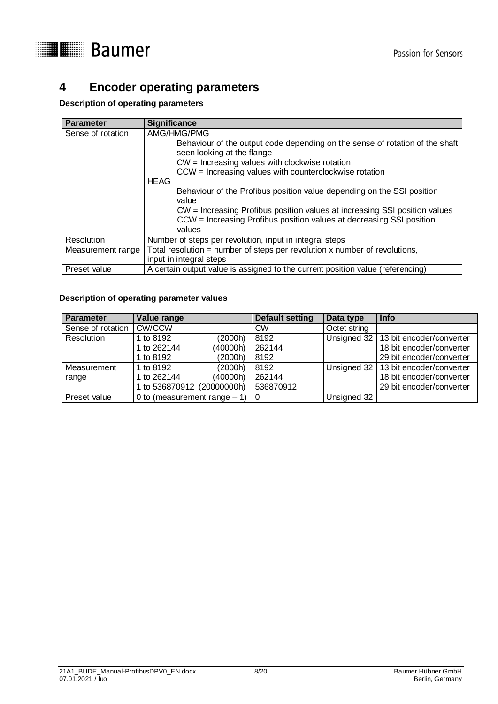

### <span id="page-7-0"></span>**4 Encoder operating parameters**

### **Description of operating parameters**

| <b>Parameter</b>  | <b>Significance</b>                                                                                                                                          |
|-------------------|--------------------------------------------------------------------------------------------------------------------------------------------------------------|
| Sense of rotation | AMG/HMG/PMG                                                                                                                                                  |
|                   | Behaviour of the output code depending on the sense of rotation of the shaft<br>seen looking at the flange                                                   |
|                   | $CW =$ Increasing values with clockwise rotation                                                                                                             |
|                   | CCW = Increasing values with counterclockwise rotation                                                                                                       |
|                   | <b>HEAG</b>                                                                                                                                                  |
|                   | Behaviour of the Profibus position value depending on the SSI position<br>value                                                                              |
|                   | CW = Increasing Profibus position values at increasing SSI position values<br>CCW = Increasing Profibus position values at decreasing SSI position<br>values |
| Resolution        |                                                                                                                                                              |
|                   | Number of steps per revolution, input in integral steps                                                                                                      |
| Measurement range | Total resolution = number of steps per revolution $x$ number of revolutions,                                                                                 |
|                   | input in integral steps                                                                                                                                      |
| Preset value      | A certain output value is assigned to the current position value (referencing)                                                                               |

### **Description of operating parameter values**

| Parameter         | Value range                    |          | <b>Default setting</b> | Data type    | Info                                   |
|-------------------|--------------------------------|----------|------------------------|--------------|----------------------------------------|
| Sense of rotation | <b>CW/CCW</b>                  |          | <b>CW</b>              | Octet string |                                        |
| Resolution        | 1 to 8192                      | (2000h)  | 8192                   |              | Unsigned 32   13 bit encoder/converter |
|                   | 1 to 262144                    | (40000h) | 262144                 |              | 18 bit encoder/converter               |
|                   | 1 to 8192                      | (2000h)  | 8192                   |              | 29 bit encoder/converter               |
| Measurement       | 1 to 8192                      | (2000h)  | 8192                   |              | Unsigned 32   13 bit encoder/converter |
| range             | 1 to 262144                    | (40000h) | 262144                 |              | 18 bit encoder/converter               |
|                   | 1 to 536870912 (20000000h)     |          | 536870912              |              | 29 bit encoder/converter               |
| Preset value      | 0 to (measurement range $-1$ ) |          | 0                      | Unsigned 32  |                                        |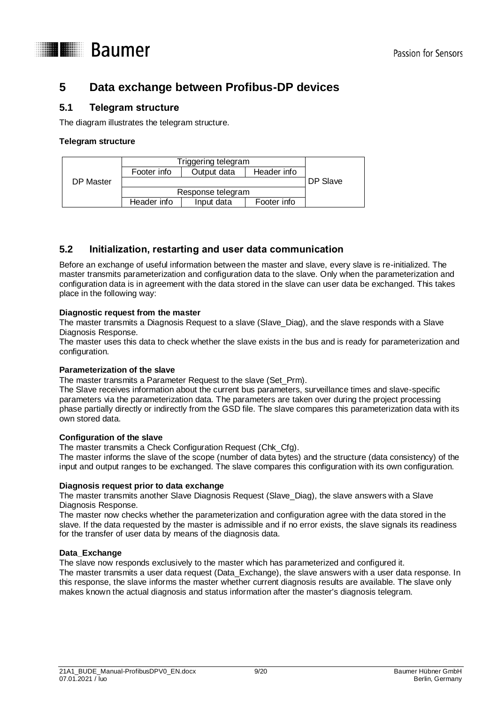

### <span id="page-8-0"></span>**5 Data exchange between Profibus-DP devices**

### <span id="page-8-1"></span>**5.1 Telegram structure**

The diagram illustrates the telegram structure.

### **Telegram structure**

|           | Triggering telegram |                   |             |  |
|-----------|---------------------|-------------------|-------------|--|
|           | Footer info         | Output data       | Header info |  |
| DP Master |                     | DP Slave          |             |  |
|           |                     | Response telegram |             |  |
|           | Header info         | Input data        | Footer info |  |

### <span id="page-8-2"></span>**5.2 Initialization, restarting and user data communication**

Before an exchange of useful information between the master and slave, every slave is re-initialized. The master transmits parameterization and configuration data to the slave. Only when the parameterization and configuration data is in agreement with the data stored in the slave can user data be exchanged. This takes place in the following way:

### **Diagnostic request from the master**

The master transmits a Diagnosis Request to a slave (Slave\_Diag), and the slave responds with a Slave Diagnosis Response.

The master uses this data to check whether the slave exists in the bus and is ready for parameterization and configuration.

### **Parameterization of the slave**

The master transmits a Parameter Request to the slave (Set\_Prm).

The Slave receives information about the current bus parameters, surveillance times and slave-specific parameters via the parameterization data. The parameters are taken over during the project processing phase partially directly or indirectly from the GSD file. The slave compares this parameterization data with its own stored data.

### **Configuration of the slave**

The master transmits a Check Configuration Request (Chk\_Cfg).

The master informs the slave of the scope (number of data bytes) and the structure (data consistency) of the input and output ranges to be exchanged. The slave compares this configuration with its own configuration.

### **Diagnosis request prior to data exchange**

The master transmits another Slave Diagnosis Request (Slave\_Diag), the slave answers with a Slave Diagnosis Response.

The master now checks whether the parameterization and configuration agree with the data stored in the slave. If the data requested by the master is admissible and if no error exists, the slave signals its readiness for the transfer of user data by means of the diagnosis data.

### **Data\_Exchange**

The slave now responds exclusively to the master which has parameterized and configured it. The master transmits a user data request (Data\_Exchange), the slave answers with a user data response. In this response, the slave informs the master whether current diagnosis results are available. The slave only makes known the actual diagnosis and status information after the master's diagnosis telegram.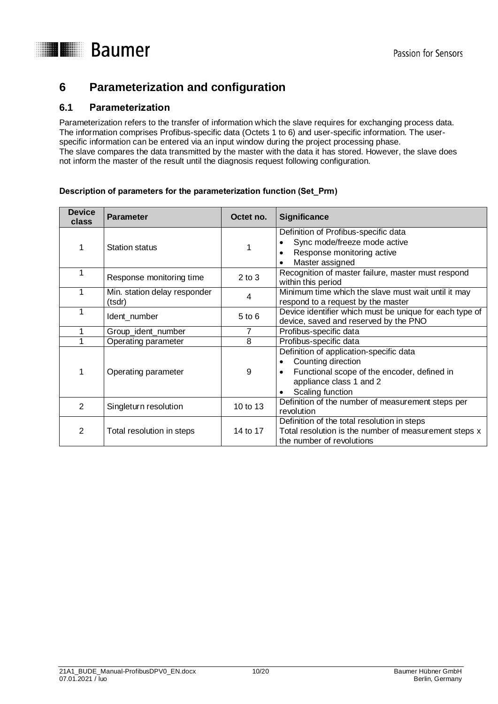

### <span id="page-9-0"></span>**6 Parameterization and configuration**

### <span id="page-9-1"></span>**6.1 Parameterization**

Parameterization refers to the transfer of information which the slave requires for exchanging process data. The information comprises Profibus-specific data (Octets 1 to 6) and user-specific information. The userspecific information can be entered via an input window during the project processing phase. The slave compares the data transmitted by the master with the data it has stored. However, the slave does not inform the master of the result until the diagnosis request following configuration.

### **Description of parameters for the parameterization function (Set\_Prm)**

| <b>Device</b><br>class | <b>Parameter</b>                       | Octet no.  | <b>Significance</b>                                                                                                                                         |
|------------------------|----------------------------------------|------------|-------------------------------------------------------------------------------------------------------------------------------------------------------------|
|                        | <b>Station status</b>                  |            | Definition of Profibus-specific data<br>Sync mode/freeze mode active<br>Response monitoring active<br>Master assigned                                       |
|                        | Response monitoring time               | $2$ to $3$ | Recognition of master failure, master must respond<br>within this period                                                                                    |
|                        | Min. station delay responder<br>(tsdr) | 4          | Minimum time which the slave must wait until it may<br>respond to a request by the master                                                                   |
|                        | Ident_number                           | $5$ to $6$ | Device identifier which must be unique for each type of<br>device, saved and reserved by the PNO                                                            |
|                        | Group_ident_number                     | 7          | Profibus-specific data                                                                                                                                      |
|                        | Operating parameter                    | 8          | Profibus-specific data                                                                                                                                      |
| 1                      | Operating parameter                    | 9          | Definition of application-specific data<br>Counting direction<br>Functional scope of the encoder, defined in<br>appliance class 1 and 2<br>Scaling function |
| 2                      | Singleturn resolution                  | 10 to 13   | Definition of the number of measurement steps per<br>revolution                                                                                             |
| 2                      | Total resolution in steps              | 14 to 17   | Definition of the total resolution in steps<br>Total resolution is the number of measurement steps x<br>the number of revolutions                           |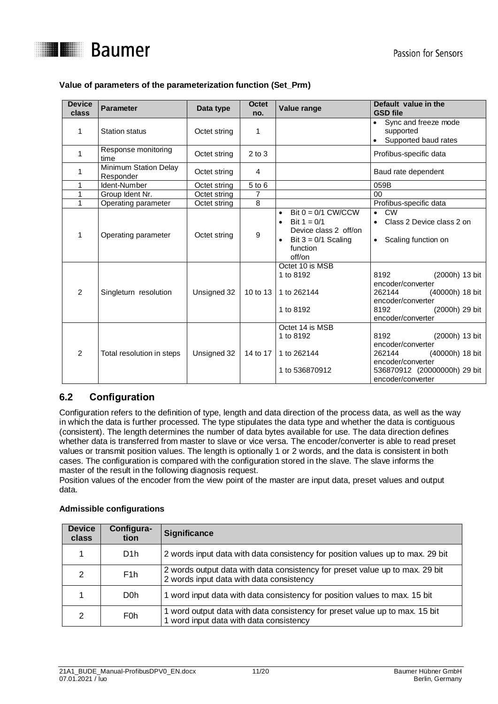

### **Value of parameters of the parameterization function (Set\_Prm)**

| <b>Device</b><br>class | <b>Parameter</b>                   | Data type    | <b>Octet</b><br>no. | Value range                                                                                                                                          | Default value in the<br><b>GSD file</b>                                                                                                            |
|------------------------|------------------------------------|--------------|---------------------|------------------------------------------------------------------------------------------------------------------------------------------------------|----------------------------------------------------------------------------------------------------------------------------------------------------|
| 1                      | <b>Station status</b>              | Octet string | 1                   |                                                                                                                                                      | Sync and freeze mode<br>supported<br>Supported baud rates                                                                                          |
| 1                      | Response monitoring<br>time        | Octet string | $2$ to $3$          |                                                                                                                                                      | Profibus-specific data                                                                                                                             |
| 1                      | Minimum Station Delay<br>Responder | Octet string | $\overline{4}$      |                                                                                                                                                      | Baud rate dependent                                                                                                                                |
| 1                      | Ident-Number                       | Octet string | 5 to 6              |                                                                                                                                                      | 059B                                                                                                                                               |
| 1                      | Group Ident Nr.                    | Octet string | 7                   |                                                                                                                                                      | 00                                                                                                                                                 |
| 1                      | Operating parameter                | Octet string | 8                   |                                                                                                                                                      | Profibus-specific data                                                                                                                             |
| 1                      | Operating parameter                | Octet string | 9                   | Bit $0 = 0/1$ CW/CCW<br>$\bullet$<br>Bit $1 = 0/1$<br>$\bullet$<br>Device class 2 off/on<br>Bit $3 = 0/1$ Scaling<br>$\bullet$<br>function<br>off/on | <b>CW</b><br>$\bullet$<br>Class 2 Device class 2 on<br>Scaling function on<br>$\bullet$                                                            |
| $\overline{2}$         | Singleturn resolution              | Unsigned 32  | 10 to 13            | Octet 10 is MSB<br>1 to 8192<br>1 to 262144<br>1 to 8192                                                                                             | 8192<br>(2000h) 13 bit<br>encoder/converter<br>(40000h) 18 bit<br>262144<br>encoder/converter<br>(2000h) 29 bit<br>8192<br>encoder/converter       |
| $\overline{2}$         | Total resolution in steps          | Unsigned 32  | 14 to 17            | Octet 14 is MSB<br>1 to 8192<br>1 to 262144<br>1 to 536870912                                                                                        | 8192<br>(2000h) 13 bit<br>encoder/converter<br>262144<br>(40000h) 18 bit<br>encoder/converter<br>536870912 (20000000h) 29 bit<br>encoder/converter |

### <span id="page-10-0"></span>**6.2 Configuration**

Configuration refers to the definition of type, length and data direction of the process data, as well as the way in which the data is further processed. The type stipulates the data type and whether the data is contiguous (consistent). The length determines the number of data bytes available for use. The data direction defines whether data is transferred from master to slave or vice versa. The encoder/converter is able to read preset values or transmit position values. The length is optionally 1 or 2 words, and the data is consistent in both cases. The configuration is compared with the configuration stored in the slave. The slave informs the master of the result in the following diagnosis request.

Position values of the encoder from the view point of the master are input data, preset values and output data.

| <b>Device</b><br>class | Configura-<br>tion | <b>Significance</b>                                                                                                      |
|------------------------|--------------------|--------------------------------------------------------------------------------------------------------------------------|
|                        | D <sub>1</sub> h   | 2 words input data with data consistency for position values up to max. 29 bit                                           |
| 2                      | F <sub>1</sub> h   | 2 words output data with data consistency for preset value up to max. 29 bit<br>2 words input data with data consistency |
|                        | D <sub>0</sub> h   | 1 word input data with data consistency for position values to max. 15 bit                                               |
| 2                      | F <sub>0</sub> h   | 1 word output data with data consistency for preset value up to max. 15 bit<br>1 word input data with data consistency   |

### **Admissible configurations**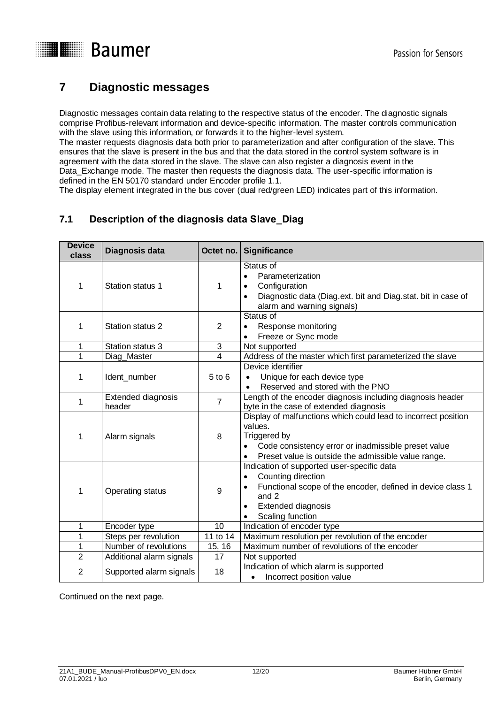

### <span id="page-11-0"></span>**7 Diagnostic messages**

Diagnostic messages contain data relating to the respective status of the encoder. The diagnostic signals comprise Profibus-relevant information and device-specific information. The master controls communication with the slave using this information, or forwards it to the higher-level system.

The master requests diagnosis data both prior to parameterization and after configuration of the slave. This ensures that the slave is present in the bus and that the data stored in the control system software is in agreement with the data stored in the slave. The slave can also register a diagnosis event in the Data\_Exchange mode. The master then requests the diagnosis data. The user-specific information is defined in the EN 50170 standard under Encoder profile 1.1.

The display element integrated in the bus cover (dual red/green LED) indicates part of this information.

### <span id="page-11-1"></span>**7.1 Description of the diagnosis data Slave\_Diag**

| <b>Device</b><br>class | Diagnosis data               | Octet no.      | <b>Significance</b>                                                                                                                                                                                                      |
|------------------------|------------------------------|----------------|--------------------------------------------------------------------------------------------------------------------------------------------------------------------------------------------------------------------------|
| 1                      | Station status 1             | 1              | Status of<br>Parameterization<br>$\bullet$<br>Configuration<br>$\bullet$<br>Diagnostic data (Diag.ext. bit and Diag.stat. bit in case of<br>alarm and warning signals)                                                   |
| 1                      | Station status 2             | 2              | Status of<br>Response monitoring<br>$\bullet$<br>Freeze or Sync mode                                                                                                                                                     |
| 1                      | Station status 3             | 3              | Not supported                                                                                                                                                                                                            |
| 1                      | Diag Master                  | 4              | Address of the master which first parameterized the slave                                                                                                                                                                |
| 1                      | Ident_number                 | $5$ to $6$     | Device identifier<br>Unique for each device type<br>$\bullet$<br>Reserved and stored with the PNO<br>$\bullet$                                                                                                           |
| 1                      | Extended diagnosis<br>header | $\overline{7}$ | Length of the encoder diagnosis including diagnosis header<br>byte in the case of extended diagnosis                                                                                                                     |
| 1                      | Alarm signals                | 8              | Display of malfunctions which could lead to incorrect position<br>values.<br>Triggered by<br>Code consistency error or inadmissible preset value<br>Preset value is outside the admissible value range.                  |
| 1                      | Operating status             | 9              | Indication of supported user-specific data<br>Counting direction<br>$\bullet$<br>Functional scope of the encoder, defined in device class 1<br>$\bullet$<br>and 2<br>Extended diagnosis<br>Scaling function<br>$\bullet$ |
| 1                      | Encoder type                 | 10             | Indication of encoder type                                                                                                                                                                                               |
| 1                      | Steps per revolution         | 11 to 14       | Maximum resolution per revolution of the encoder                                                                                                                                                                         |
| 1                      | Number of revolutions        | 15, 16         | Maximum number of revolutions of the encoder                                                                                                                                                                             |
| $\overline{2}$         | Additional alarm signals     | 17             | Not supported                                                                                                                                                                                                            |
| $\overline{2}$         | Supported alarm signals      | 18             | Indication of which alarm is supported<br>Incorrect position value<br>$\bullet$                                                                                                                                          |

Continued on the next page.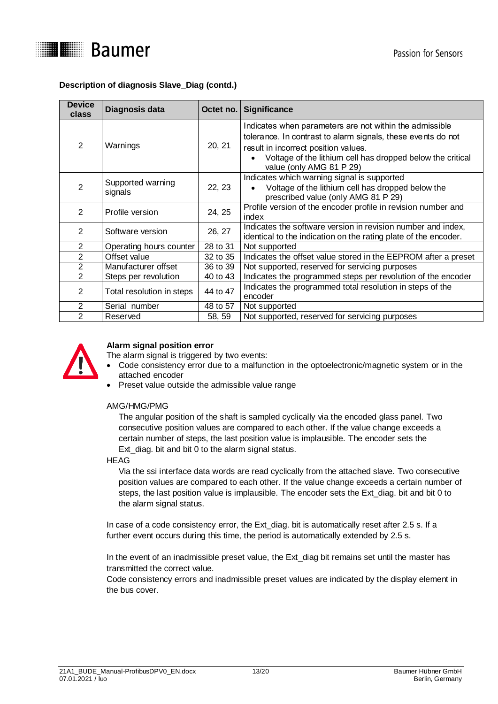

### **Description of diagnosis Slave\_Diag (contd.)**

| <b>Device</b><br>class | Diagnosis data               | Octet no. | <b>Significance</b>                                                                                                                                                                                                                                       |
|------------------------|------------------------------|-----------|-----------------------------------------------------------------------------------------------------------------------------------------------------------------------------------------------------------------------------------------------------------|
| 2                      | Warnings                     | 20, 21    | Indicates when parameters are not within the admissible<br>tolerance. In contrast to alarm signals, these events do not<br>result in incorrect position values.<br>Voltage of the lithium cell has dropped below the critical<br>value (only AMG 81 P 29) |
| 2                      | Supported warning<br>signals | 22, 23    | Indicates which warning signal is supported<br>Voltage of the lithium cell has dropped below the<br>prescribed value (only AMG 81 P 29)                                                                                                                   |
| $\mathcal{P}$          | Profile version              | 24, 25    | Profile version of the encoder profile in revision number and<br>index                                                                                                                                                                                    |
| 2                      | Software version             | 26, 27    | Indicates the software version in revision number and index,<br>identical to the indication on the rating plate of the encoder.                                                                                                                           |
| $\overline{2}$         | Operating hours counter      | 28 to 31  | Not supported                                                                                                                                                                                                                                             |
| $\overline{2}$         | Offset value                 | 32 to 35  | Indicates the offset value stored in the EEPROM after a preset                                                                                                                                                                                            |
| $\overline{2}$         | Manufacturer offset          | 36 to 39  | Not supported, reserved for servicing purposes                                                                                                                                                                                                            |
| 2                      | Steps per revolution         | 40 to 43  | Indicates the programmed steps per revolution of the encoder                                                                                                                                                                                              |
| 2                      | Total resolution in steps    | 44 to 47  | Indicates the programmed total resolution in steps of the<br>encoder                                                                                                                                                                                      |
| 2                      | Serial number                | 48 to 57  | Not supported                                                                                                                                                                                                                                             |
| 2                      | Reserved                     | 58, 59    | Not supported, reserved for servicing purposes                                                                                                                                                                                                            |



### **Alarm signal position error**

The alarm signal is triggered by two events:

- Code consistency error due to a malfunction in the optoelectronic/magnetic system or in the attached encoder
- Preset value outside the admissible value range

### AMG/HMG/PMG

The angular position of the shaft is sampled cyclically via the encoded glass panel. Two consecutive position values are compared to each other. If the value change exceeds a certain number of steps, the last position value is implausible. The encoder sets the Ext\_diag. bit and bit 0 to the alarm signal status.

HEAG

Via the ssi interface data words are read cyclically from the attached slave. Two consecutive position values are compared to each other. If the value change exceeds a certain number of steps, the last position value is implausible. The encoder sets the Ext\_diag. bit and bit 0 to the alarm signal status.

In case of a code consistency error, the Ext\_diag. bit is automatically reset after 2.5 s. If a further event occurs during this time, the period is automatically extended by 2.5 s.

In the event of an inadmissible preset value, the Ext\_diag bit remains set until the master has transmitted the correct value.

Code consistency errors and inadmissible preset values are indicated by the display element in the bus cover.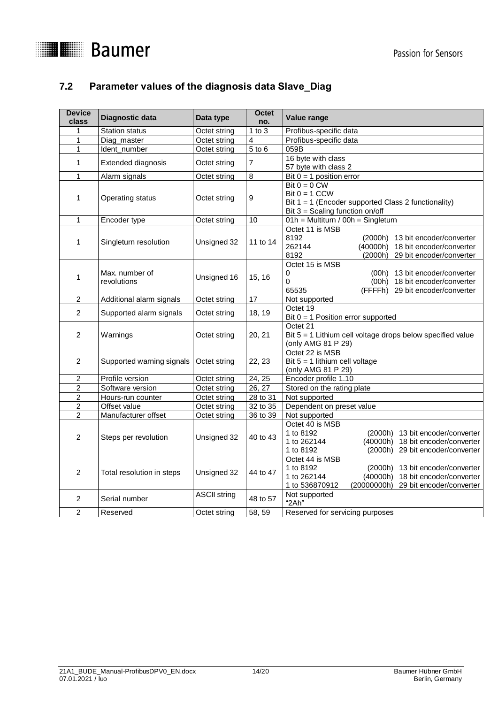

### <span id="page-13-0"></span>**7.2 Parameter values of the diagnosis data Slave\_Diag**

| <b>Device</b><br>class  | Diagnostic data               | Data type           | <b>Octet</b><br>no. | Value range                                                                                                                                                                          |  |  |  |  |  |
|-------------------------|-------------------------------|---------------------|---------------------|--------------------------------------------------------------------------------------------------------------------------------------------------------------------------------------|--|--|--|--|--|
| 1                       | <b>Station status</b>         | Octet string        | $1$ to $3$          | Profibus-specific data                                                                                                                                                               |  |  |  |  |  |
| 1                       | Diag_master                   | Octet string        | 4                   | Profibus-specific data                                                                                                                                                               |  |  |  |  |  |
| 1                       | Ident_number                  | Octet string        | $5$ to $6$          | 059B                                                                                                                                                                                 |  |  |  |  |  |
| 1                       | Extended diagnosis            | Octet string        | 7                   | 16 byte with class<br>57 byte with class 2                                                                                                                                           |  |  |  |  |  |
| $\mathbf{1}$            | Alarm signals                 | Octet string        | 8                   | Bit $0 = 1$ position error                                                                                                                                                           |  |  |  |  |  |
| 1                       | Operating status              | Octet string        | 9                   | Bit $0 = 0$ CW<br>Bit $0 = 1$ CCW<br>Bit $1 = 1$ (Encoder supported Class 2 functionality)<br>Bit $3 =$ Scaling function on/off                                                      |  |  |  |  |  |
| 1                       | Encoder type                  | Octet string        | 10                  | 01h = Multiturn / 00h = Singleturn                                                                                                                                                   |  |  |  |  |  |
| 1                       | Singleturn resolution         | Unsigned 32         | 11 to 14            | Octet 11 is MSB<br>8192<br>(2000h) 13 bit encoder/converter<br>262144<br>(40000h)<br>18 bit encoder/converter<br>8192<br>(2000h)<br>29 bit encoder/converter                         |  |  |  |  |  |
| 1                       | Max. number of<br>revolutions | Unsigned 16         | 15, 16              | Octet 15 is MSB<br>13 bit encoder/converter<br>0<br>(00h)<br>0<br>(00h) 18 bit encoder/converter<br>65535<br>(FFFFh) 29 bit encoder/converter                                        |  |  |  |  |  |
| $\overline{2}$          | Additional alarm signals      | Octet string        | 17                  | Not supported                                                                                                                                                                        |  |  |  |  |  |
| $\overline{c}$          | Supported alarm signals       | Octet string        | 18, 19              | Octet 19<br>Bit $0 = 1$ Position error supported                                                                                                                                     |  |  |  |  |  |
| $\overline{c}$          | Warnings                      | Octet string        | 20, 21              | Octet 21<br>Bit $5 = 1$ Lithium cell voltage drops below specified value<br>(only AMG 81 P 29)                                                                                       |  |  |  |  |  |
| $\overline{c}$          | Supported warning signals     | Octet string        | 22, 23              | Octet 22 is MSB<br>Bit $5 = 1$ lithium cell voltage<br>(only AMG 81 P 29)                                                                                                            |  |  |  |  |  |
| $\overline{c}$          | Profile version               | Octet string        | $\overline{2}4, 25$ | Encoder profile 1.10                                                                                                                                                                 |  |  |  |  |  |
| $\overline{\mathbf{c}}$ | Software version              | Octet string        | 26, 27              | Stored on the rating plate                                                                                                                                                           |  |  |  |  |  |
| $\overline{2}$          | Hours-run counter             | Octet string        | 28 to 31            | Not supported                                                                                                                                                                        |  |  |  |  |  |
| $\overline{c}$          | Offset value                  | Octet string        | 32 to 35            | Dependent on preset value                                                                                                                                                            |  |  |  |  |  |
| $\overline{2}$          | Manufacturer offset           | Octet string        | 36 to 39            | Not supported                                                                                                                                                                        |  |  |  |  |  |
| 2                       | Steps per revolution          | Unsigned 32         | 40 to 43            | Octet 40 is MSB<br>1 to 8192<br>(2000h) 13 bit encoder/converter<br>1 to 262144<br>(40000h) 18 bit encoder/converter<br>1 to 8192<br>(2000h) 29 bit encoder/converter                |  |  |  |  |  |
| $\overline{2}$          | Total resolution in steps     | Unsigned 32         | 44 to 47            | Octet 44 is MSB<br>1 to 8192<br>(2000h) 13 bit encoder/converter<br>1 to 262144<br>(40000h)<br>18 bit encoder/converter<br>1 to 536870912<br>(20000000h)<br>29 bit encoder/converter |  |  |  |  |  |
| 2                       | Serial number                 | <b>ASCII string</b> | 48 to 57            | Not supported<br>"2Ah"                                                                                                                                                               |  |  |  |  |  |
| $\overline{c}$          | Reserved                      | Octet string        | 58, 59              | Reserved for servicing purposes                                                                                                                                                      |  |  |  |  |  |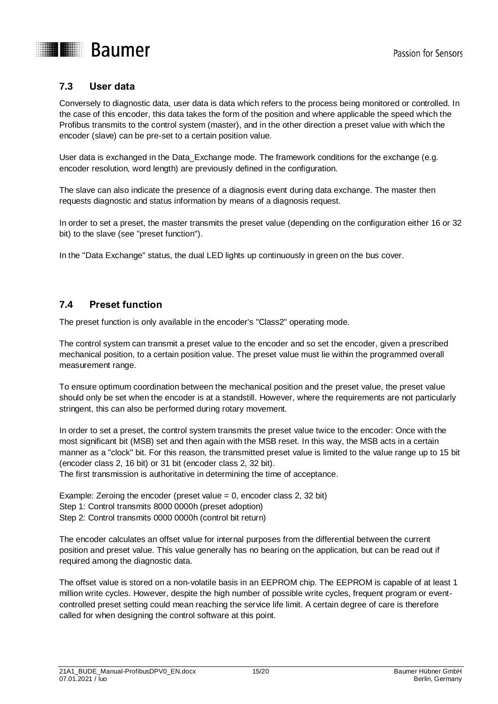

## **THE Baumer**

### <span id="page-14-0"></span>**7.3 User data**

Conversely to diagnostic data, user data is data which refers to the process being monitored or controlled. In the case of this encoder, this data takes the form of the position and where applicable the speed which the Profibus transmits to the control system (master), and in the other direction a preset value with which the encoder (slave) can be pre-set to a certain position value.

User data is exchanged in the Data\_Exchange mode. The framework conditions for the exchange (e.g. encoder resolution, word length) are previously defined in the configuration.

The slave can also indicate the presence of a diagnosis event during data exchange. The master then requests diagnostic and status information by means of a diagnosis request.

In order to set a preset, the master transmits the preset value (depending on the configuration either 16 or 32 bit) to the slave (see "preset function").

In the "Data Exchange" status, the dual LED lights up continuously in green on the bus cover.

### <span id="page-14-1"></span>**7.4 Preset function**

The preset function is only available in the encoder's "Class2" operating mode.

The control system can transmit a preset value to the encoder and so set the encoder, given a prescribed mechanical position, to a certain position value. The preset value must lie within the programmed overall measurement range.

To ensure optimum coordination between the mechanical position and the preset value, the preset value should only be set when the encoder is at a standstill. However, where the requirements are not particularly stringent, this can also be performed during rotary movement.

In order to set a preset, the control system transmits the preset value twice to the encoder: Once with the most significant bit (MSB) set and then again with the MSB reset. In this way, the MSB acts in a certain manner as a "clock" bit. For this reason, the transmitted preset value is limited to the value range up to 15 bit (encoder class 2, 16 bit) or 31 bit (encoder class 2, 32 bit).

The first transmission is authoritative in determining the time of acceptance.

Example: Zeroing the encoder (preset value  $= 0$ , encoder class 2, 32 bit) Step 1: Control transmits 8000 0000h (preset adoption) Step 2: Control transmits 0000 0000h (control bit return)

The encoder calculates an offset value for internal purposes from the differential between the current position and preset value. This value generally has no bearing on the application, but can be read out if required among the diagnostic data.

The offset value is stored on a non-volatile basis in an EEPROM chip. The EEPROM is capable of at least 1 million write cycles. However, despite the high number of possible write cycles, frequent program or eventcontrolled preset setting could mean reaching the service life limit. A certain degree of care is therefore called for when designing the control software at this point.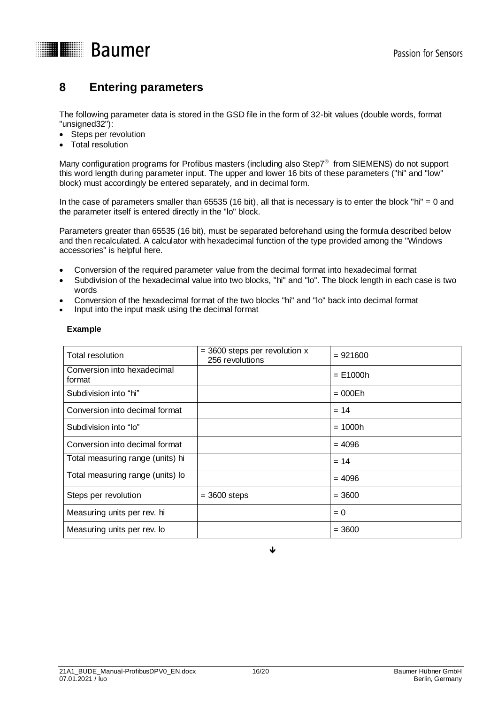

### <span id="page-15-0"></span>**8 Entering parameters**

The following parameter data is stored in the GSD file in the form of 32-bit values (double words, format "unsigned32"):

- Steps per revolution
- Total resolution

Many configuration programs for Profibus masters (including also Step7® from SIEMENS) do not support this word length during parameter input. The upper and lower 16 bits of these parameters ("hi" and "low" block) must accordingly be entered separately, and in decimal form.

In the case of parameters smaller than 65535 (16 bit), all that is necessary is to enter the block "hi" = 0 and the parameter itself is entered directly in the "lo" block.

Parameters greater than 65535 (16 bit), must be separated beforehand using the formula described below and then recalculated. A calculator with hexadecimal function of the type provided among the "Windows accessories" is helpful here.

- Conversion of the required parameter value from the decimal format into hexadecimal format
- Subdivision of the hexadecimal value into two blocks, "hi" and "lo". The block length in each case is two words
- Conversion of the hexadecimal format of the two blocks "hi" and "lo" back into decimal format
- Input into the input mask using the decimal format

### **Example**

| Total resolution                      | $=$ 3600 steps per revolution x<br>256 revolutions | $= 921600$ |
|---------------------------------------|----------------------------------------------------|------------|
| Conversion into hexadecimal<br>format |                                                    | $= E1000h$ |
| Subdivision into "hi"                 |                                                    | $= 000Eh$  |
| Conversion into decimal format        |                                                    | $= 14$     |
| Subdivision into "lo"                 |                                                    | $= 1000h$  |
| Conversion into decimal format        |                                                    | $= 4096$   |
| Total measuring range (units) hi      |                                                    | $= 14$     |
| Total measuring range (units) lo      |                                                    | $= 4096$   |
| Steps per revolution                  | $=$ 3600 steps                                     | $= 3600$   |
| Measuring units per rev. hi           |                                                    | $= 0$      |
| Measuring units per rev. lo           |                                                    | $= 3600$   |

J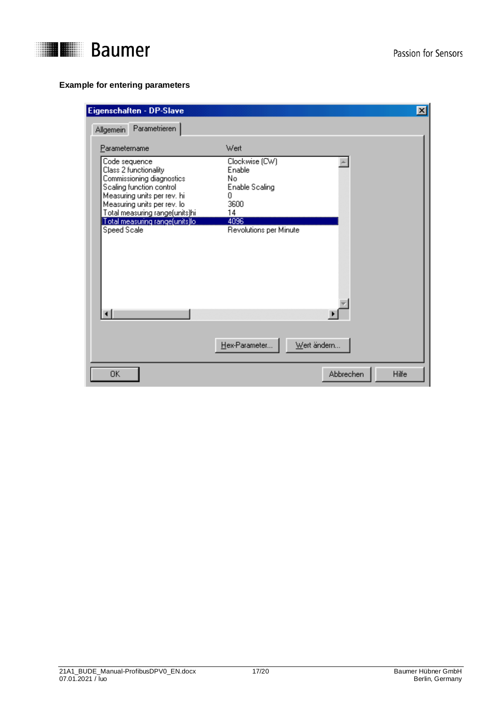

### **Example for entering parameters**

| Eigenschaften - DP-Slave<br>$\vert x \vert$                                                                                                                                                                                                       |                                                                                                       |                    |  |  |  |
|---------------------------------------------------------------------------------------------------------------------------------------------------------------------------------------------------------------------------------------------------|-------------------------------------------------------------------------------------------------------|--------------------|--|--|--|
| Parametrieren<br>Allgemein                                                                                                                                                                                                                        |                                                                                                       |                    |  |  |  |
| Parametername                                                                                                                                                                                                                                     | Wert                                                                                                  |                    |  |  |  |
| Code sequence<br>Class 2 functionality<br>Commissioning diagnostics<br>Scaling function control<br>Measuring units per rev. hi<br>Measuring units per rev. lo<br>Total measuring range(units)hi<br>Total measuring range[units]lo.<br>Speed Scale | Clockwise (CW)<br>Enable<br>No<br>Enable Scaling<br>Ω<br>3600<br>14<br>4096<br>Revolutions per Minute |                    |  |  |  |
|                                                                                                                                                                                                                                                   | Hex-Parameter                                                                                         | Wert ändern        |  |  |  |
| 0K                                                                                                                                                                                                                                                |                                                                                                       | Hilfe<br>Abbrechen |  |  |  |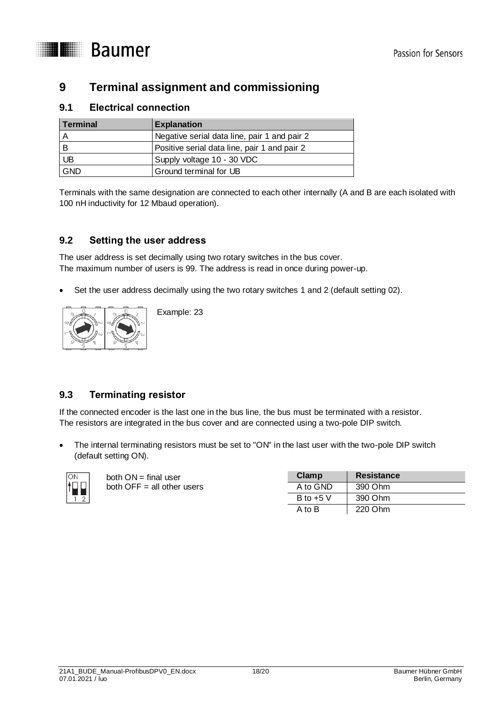

### <span id="page-17-0"></span>**9 Terminal assignment and commissioning**

### <span id="page-17-1"></span>**9.1 Electrical connection**

| Terminal   | <b>Explanation</b>                           |
|------------|----------------------------------------------|
|            | Negative serial data line, pair 1 and pair 2 |
| В          | Positive serial data line, pair 1 and pair 2 |
| UB         | Supply voltage 10 - 30 VDC                   |
| <b>GND</b> | Ground terminal for UB                       |

Terminals with the same designation are connected to each other internally (A and B are each isolated with 100 nH inductivity for 12 Mbaud operation).

### <span id="page-17-2"></span>**9.2 Setting the user address**

The user address is set decimally using two rotary switches in the bus cover. The maximum number of users is 99. The address is read in once during power-up.

Set the user address decimally using the two rotary switches 1 and 2 (default setting 02).



Example: 23

### <span id="page-17-3"></span>**9.3 Terminating resistor**

If the connected encoder is the last one in the bus line, the bus must be terminated with a resistor. The resistors are integrated in the bus cover and are connected using a two-pole DIP switch.

 The internal terminating resistors must be set to "ON" in the last user with the two-pole DIP switch (default setting ON).



both ON = final user both  $OFF = all$  other users

| Clamp       | <b>Resistance</b> |
|-------------|-------------------|
| A to GND    | 390 Ohm           |
| B to $+5$ V | 390 Ohm           |
| A to B      | 220 Ohm           |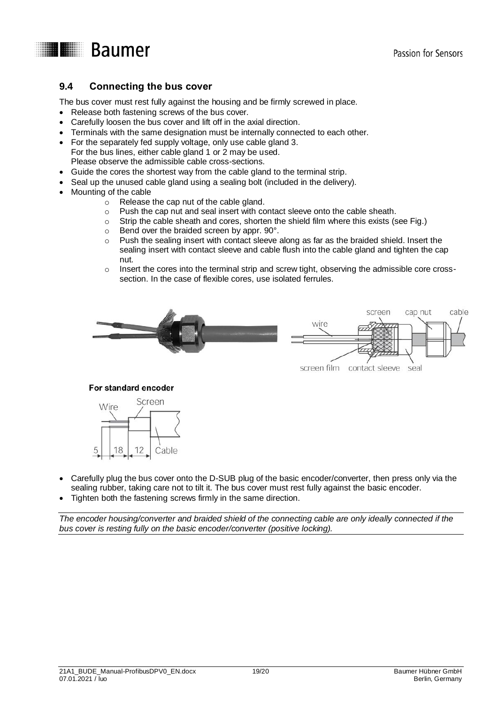

### <span id="page-18-0"></span>**9.4 Connecting the bus cover**

The bus cover must rest fully against the housing and be firmly screwed in place.

- Release both fastening screws of the bus cover.
- Carefully loosen the bus cover and lift off in the axial direction.
- Terminals with the same designation must be internally connected to each other.
- For the separately fed supply voltage, only use cable gland 3. For the bus lines, either cable gland 1 or 2 may be used. Please observe the admissible cable cross-sections.
- Guide the cores the shortest way from the cable gland to the terminal strip.
- Seal up the unused cable gland using a sealing bolt (included in the delivery).
- Mounting of the cable
	- o Release the cap nut of the cable gland.
	- $\circ$  Push the cap nut and seal insert with contact sleeve onto the cable sheath.
	- $\circ$  Strip the cable sheath and cores, shorten the shield film where this exists (see Fig.)
	- o Bend over the braided screen by appr. 90°.
	- $\circ$  Push the sealing insert with contact sleeve along as far as the braided shield. Insert the sealing insert with contact sleeve and cable flush into the cable gland and tighten the cap nut.
	- o Insert the cores into the terminal strip and screw tight, observing the admissible core crosssection. In the case of flexible cores, use isolated ferrules.



### For standard encoder



- Carefully plug the bus cover onto the D-SUB plug of the basic encoder/converter, then press only via the sealing rubber, taking care not to tilt it. The bus cover must rest fully against the basic encoder.
- Tighten both the fastening screws firmly in the same direction.

*The encoder housing/converter and braided shield of the connecting cable are only ideally connected if the bus cover is resting fully on the basic encoder/converter (positive locking).*